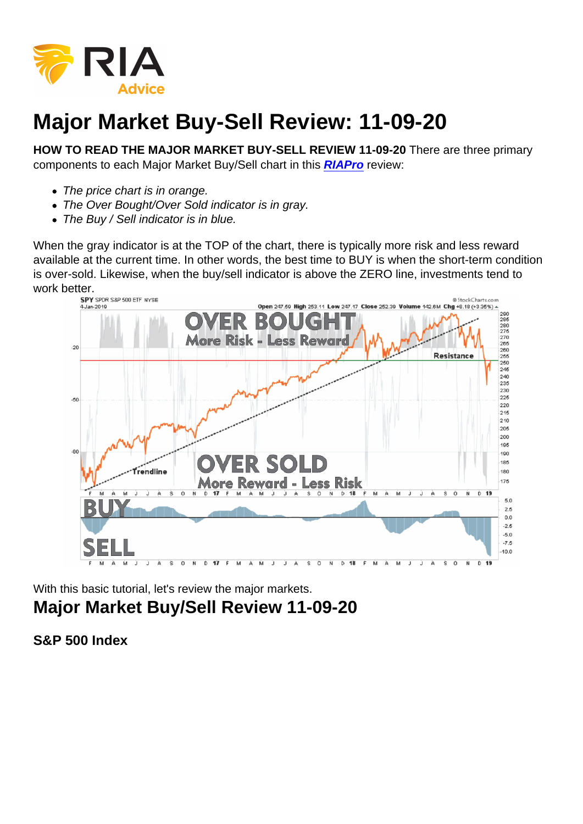## Major Market Buy-Sell Review: 11-09-20

HOW TO READ THE MAJOR MARKET BUY-SELL REVIEW 11-09-20 There are three primary components to each Major Market Buy/Sell chart in this [RIAPro](https://riapro.net/home) review:

- The price chart is in orange.
- The Over Bought/Over Sold indicator is in gray.
- The Buy / Sell indicator is in blue.

When the gray indicator is at the TOP of the chart, there is typically more risk and less reward available at the current time. In other words, the best time to BUY is when the short-term condition is over-sold. Likewise, when the buy/sell indicator is above the ZERO line, investments tend to work better.

With this basic tutorial, let's review the major markets. Major Market Buy/Sell Review 11-09-20

S&P 500 Index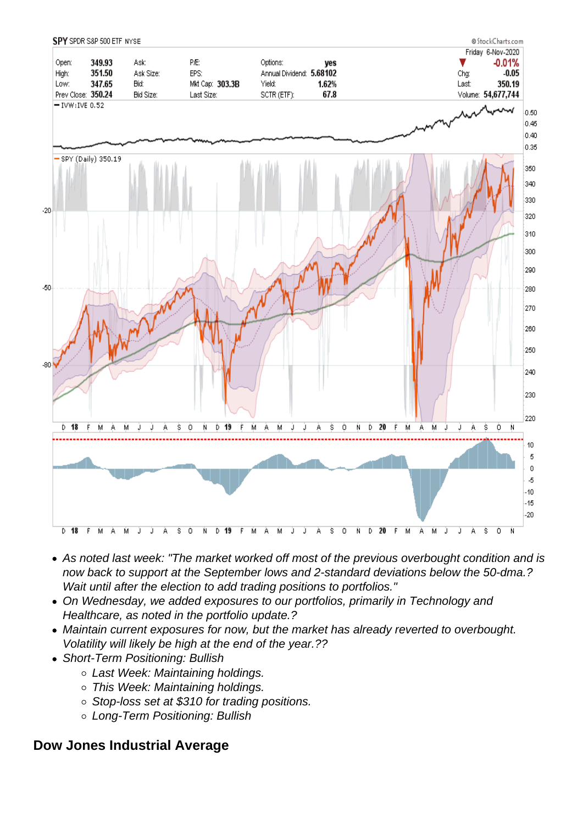- As noted last week: "The market worked off most of the previous overbought condition and is now back to support at the September lows and 2-standard deviations below the 50-dma.? Wait until after the election to add trading positions to portfolios."
- On Wednesday, we added exposures to our portfolios, primarily in Technology and Healthcare, as noted in the portfolio update.?
- Maintain current exposures for now, but the market has already reverted to overbought. Volatility will likely be high at the end of the year.??
- Short-Term Positioning: Bullish
	- Last Week: Maintaining holdings.
	- o This Week: Maintaining holdings.
	- Stop-loss set at \$310 for trading positions.
	- Long-Term Positioning: Bullish

Dow Jones Industrial Average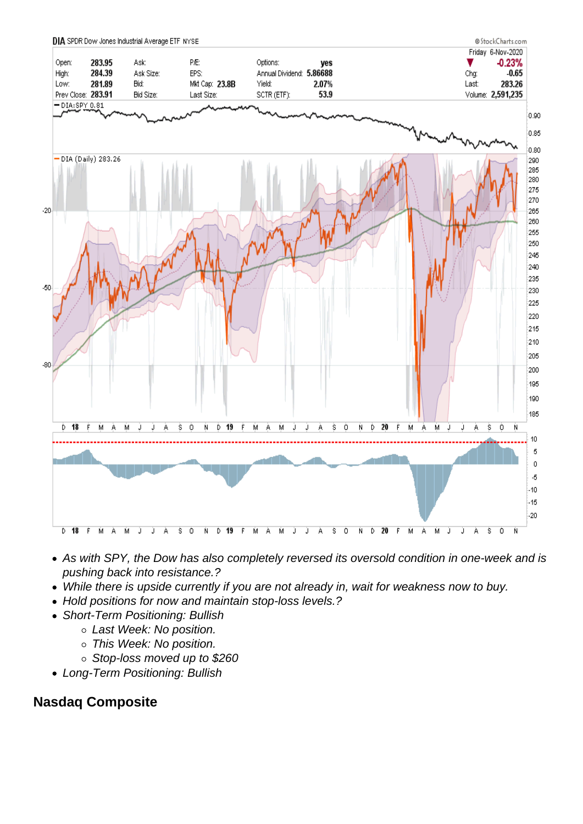- As with SPY, the Dow has also completely reversed its oversold condition in one-week and is pushing back into resistance.?
- While there is upside currently if you are not already in, wait for weakness now to buy.
- Hold positions for now and maintain stop-loss levels.?
- Short-Term Positioning: Bullish
	- Last Week: No position.
	- o This Week: No position.
	- Stop-loss moved up to \$260
- Long-Term Positioning: Bullish

## Nasdaq Composite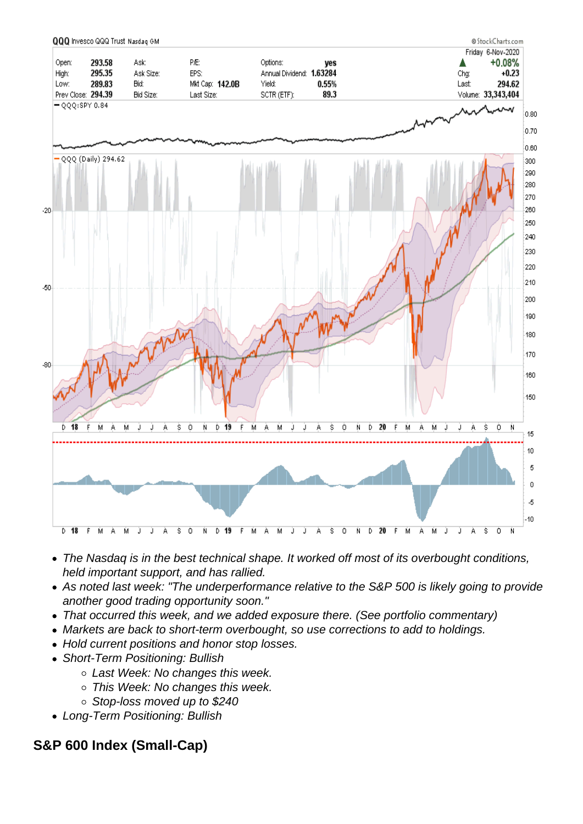- The Nasdaq is in the best technical shape. It worked off most of its overbought conditions, held important support, and has rallied.
- As noted last week: "The underperformance relative to the S&P 500 is likely going to provide another good trading opportunity soon."
- That occurred this week, and we added exposure there. (See portfolio commentary)
- Markets are back to short-term overbought, so use corrections to add to holdings.
- Hold current positions and honor stop losses.
- Short-Term Positioning: Bullish
	- o Last Week: No changes this week.
	- o This Week: No changes this week.
	- Stop-loss moved up to \$240
- Long-Term Positioning: Bullish

S&P 600 Index (Small-Cap)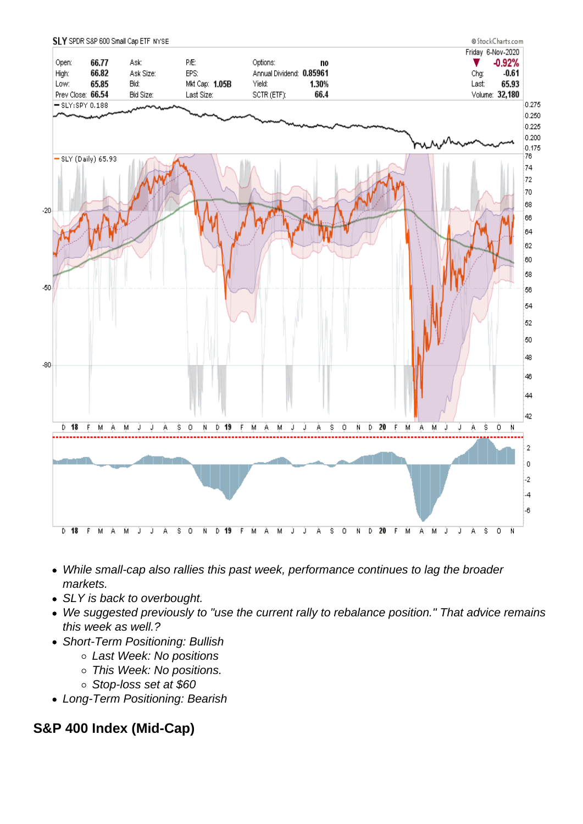- While small-cap also rallies this past week, performance continues to lag the broader markets.
- SLY is back to overbought.
- We suggested previously to "use the current rally to rebalance position." That advice remains this week as well.?
- Short-Term Positioning: Bullish
	- Last Week: No positions
	- This Week: No positions.
	- Stop-loss set at \$60
- Long-Term Positioning: Bearish

S&P 400 Index (Mid-Cap)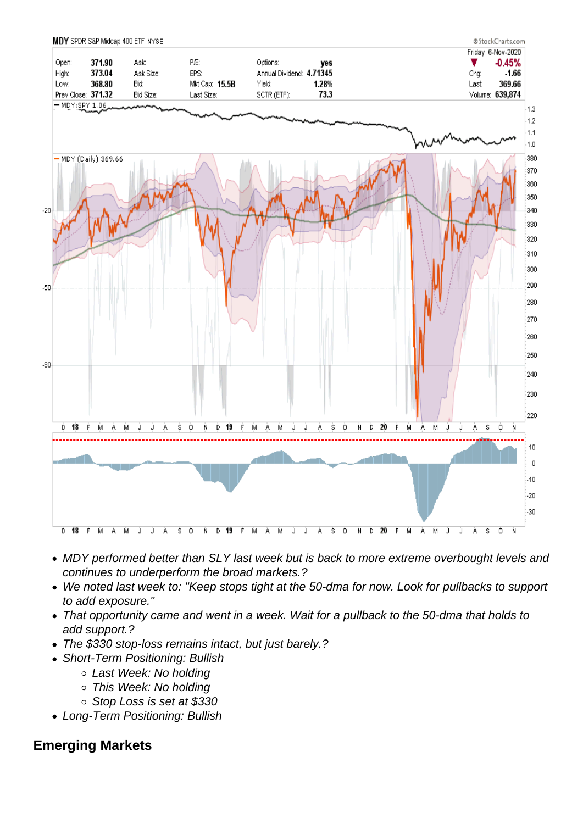- MDY performed better than SLY last week but is back to more extreme overbought levels and continues to underperform the broad markets.?
- We noted last week to: "Keep stops tight at the 50-dma for now. Look for pullbacks to support to add exposure."
- That opportunity came and went in a week. Wait for a pullback to the 50-dma that holds to add support.?
- The \$330 stop-loss remains intact, but just barely.?
- Short-Term Positioning: Bullish
	- Last Week: No holding
	- This Week: No holding
	- Stop Loss is set at \$330
- Long-Term Positioning: Bullish

## Emerging Markets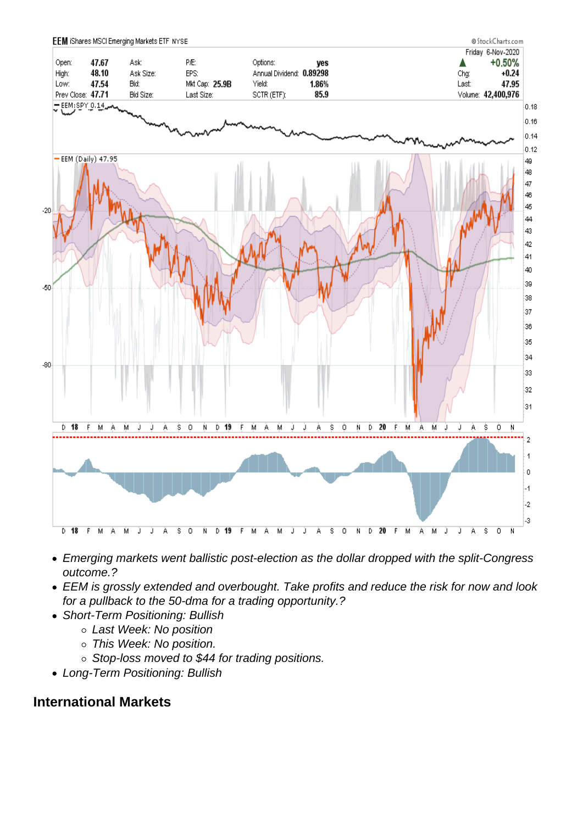- Emerging markets went ballistic post-election as the dollar dropped with the split-Congress outcome.?
- EEM is grossly extended and overbought. Take profits and reduce the risk for now and look for a pullback to the 50-dma for a trading opportunity.?
- Short-Term Positioning: Bullish
	- Last Week: No position
	- This Week: No position.
	- o Stop-loss moved to \$44 for trading positions.
- Long-Term Positioning: Bullish

## International Markets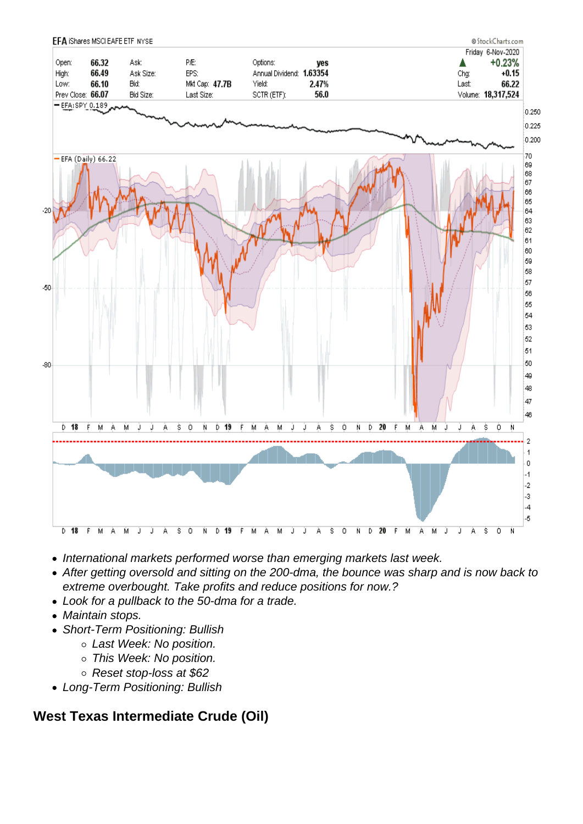- International markets performed worse than emerging markets last week.
- After getting oversold and sitting on the 200-dma, the bounce was sharp and is now back to extreme overbought. Take profits and reduce positions for now.?
- Look for a pullback to the 50-dma for a trade.
- Maintain stops.
- Short-Term Positioning: Bullish
	- Last Week: No position.
	- o This Week: No position.
	- Reset stop-loss at \$62
- Long-Term Positioning: Bullish

West Texas Intermediate Crude (Oil)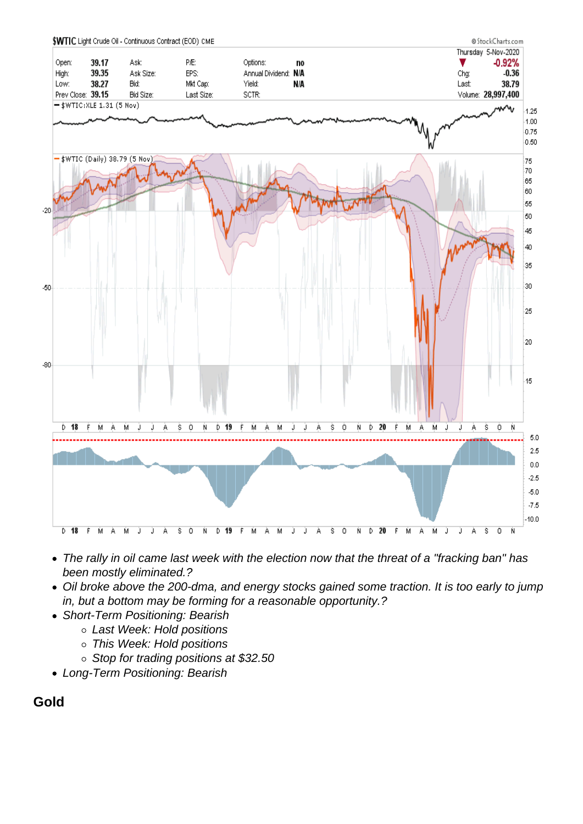- The rally in oil came last week with the election now that the threat of a "fracking ban" has been mostly eliminated.?
- Oil broke above the 200-dma, and energy stocks gained some traction. It is too early to jump in, but a bottom may be forming for a reasonable opportunity.?
- Short-Term Positioning: Bearish
	- Last Week: Hold positions
	- This Week: Hold positions
	- Stop for trading positions at \$32.50
- Long-Term Positioning: Bearish

Gold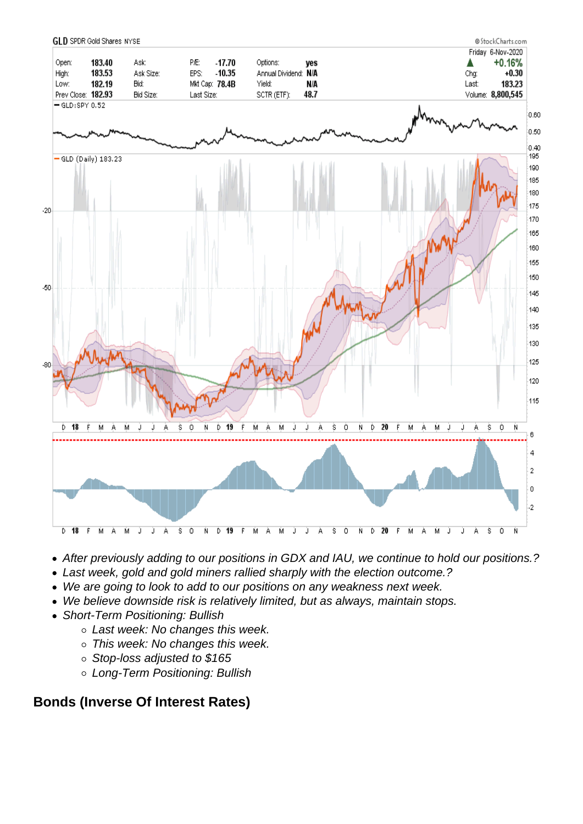- After previously adding to our positions in GDX and IAU, we continue to hold our positions.?
- Last week, gold and gold miners rallied sharply with the election outcome.?
- We are going to look to add to our positions on any weakness next week.
- We believe downside risk is relatively limited, but as always, maintain stops.
- Short-Term Positioning: Bullish
	- o Last week: No changes this week.
	- o This week: No changes this week.
	- Stop-loss adjusted to \$165
	- Long-Term Positioning: Bullish

Bonds (Inverse Of Interest Rates)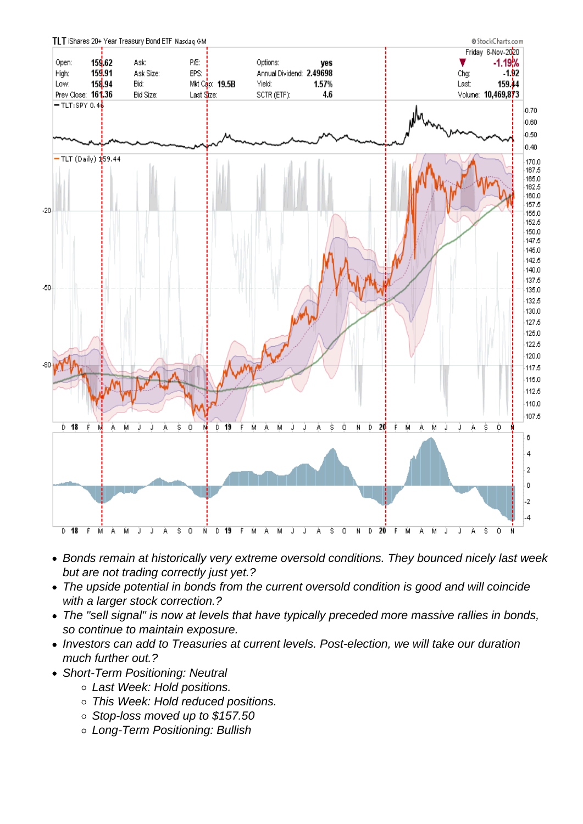- Bonds remain at historically very extreme oversold conditions. They bounced nicely last week but are not trading correctly just yet.?
- The upside potential in bonds from the current oversold condition is good and will coincide with a larger stock correction.?
- The "sell signal" is now at levels that have typically preceded more massive rallies in bonds, so continue to maintain exposure.
- Investors can add to Treasuries at current levels. Post-election, we will take our duration much further out.?
- Short-Term Positioning: Neutral
	- Last Week: Hold positions.
	- This Week: Hold reduced positions.
	- Stop-loss moved up to \$157.50
	- Long-Term Positioning: Bullish